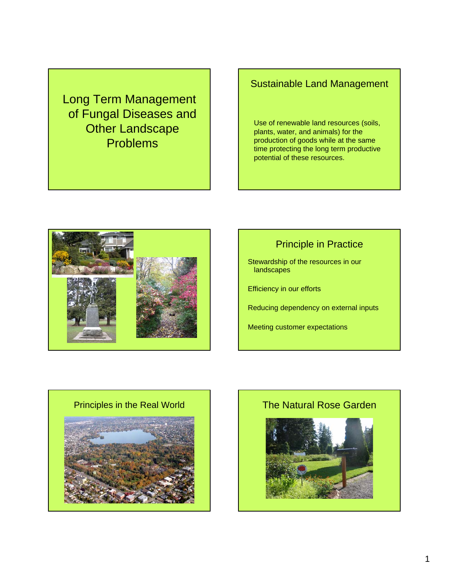Long Term Management of Fungal Diseases and **Other Landscape** Problems

# Sustainable Land Management

Use of renewable land resources (soils, plants, water, and animals) for the production of goods while at the same time protecting the long term productive potential of these resources.



# Principle in Practice

Stewardship of the resources in our **landscapes** 

Efficiency in our efforts

Reducing dependency on external inputs

Meeting customer expectations



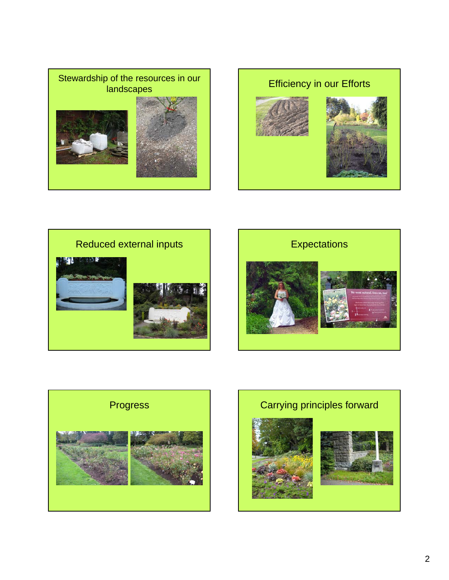









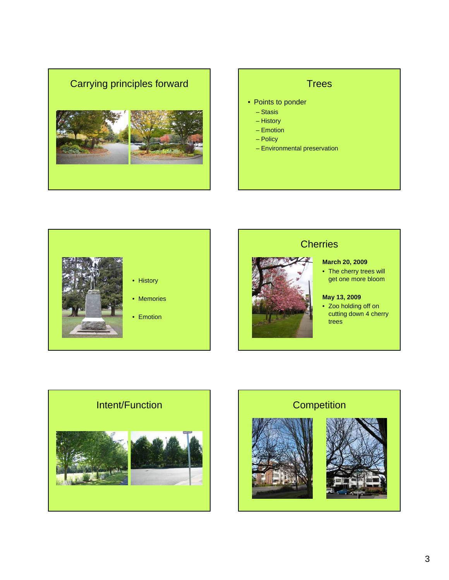

- Points to ponder
	- Stasis
	- History
	- Emotion
	- Policy
	- Environmental preservation





# **Cherries**

- **March 20, 2009**
- The cherry trees will get one more bloom

## **May 13, 2009**

• Zoo holding off on cutting down 4 cherry trees



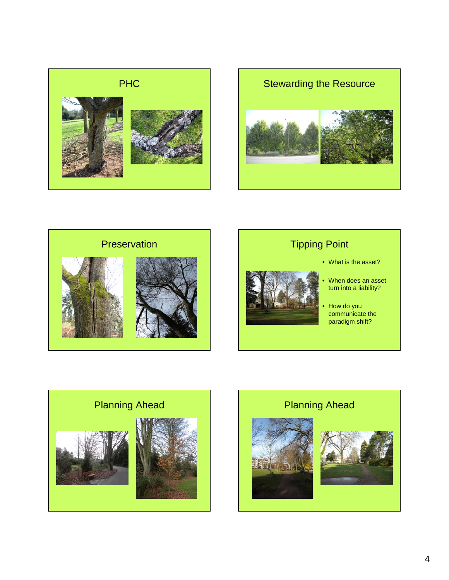







- What is the asset?
- When does an asset turn into a liability?
- How do you communicate the paradigm shift?